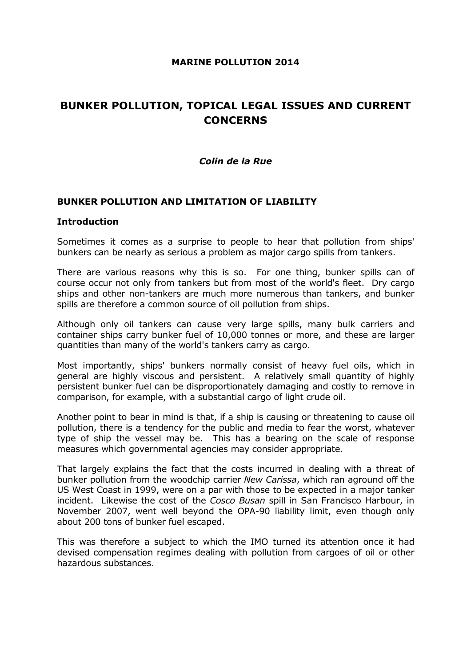### MARINE POLLUTION 2014

# BUNKER POLLUTION, TOPICAL LEGAL ISSUES AND CURRENT **CONCERNS**

### Colin de la Rue

### BUNKER POLLUTION AND LIMITATION OF LIABILITY

#### **Introduction**

Sometimes it comes as a surprise to people to hear that pollution from ships' bunkers can be nearly as serious a problem as major cargo spills from tankers.

There are various reasons why this is so. For one thing, bunker spills can of course occur not only from tankers but from most of the world's fleet. Dry cargo ships and other non-tankers are much more numerous than tankers, and bunker spills are therefore a common source of oil pollution from ships.

Although only oil tankers can cause very large spills, many bulk carriers and container ships carry bunker fuel of 10,000 tonnes or more, and these are larger quantities than many of the world's tankers carry as cargo.

Most importantly, ships' bunkers normally consist of heavy fuel oils, which in general are highly viscous and persistent. A relatively small quantity of highly persistent bunker fuel can be disproportionately damaging and costly to remove in comparison, for example, with a substantial cargo of light crude oil.

Another point to bear in mind is that, if a ship is causing or threatening to cause oil pollution, there is a tendency for the public and media to fear the worst, whatever type of ship the vessel may be. This has a bearing on the scale of response measures which governmental agencies may consider appropriate.

That largely explains the fact that the costs incurred in dealing with a threat of bunker pollution from the woodchip carrier New Carissa, which ran aground off the US West Coast in 1999, were on a par with those to be expected in a major tanker incident. Likewise the cost of the Cosco Busan spill in San Francisco Harbour, in November 2007, went well beyond the OPA-90 liability limit, even though only about 200 tons of bunker fuel escaped.

This was therefore a subject to which the IMO turned its attention once it had devised compensation regimes dealing with pollution from cargoes of oil or other hazardous substances.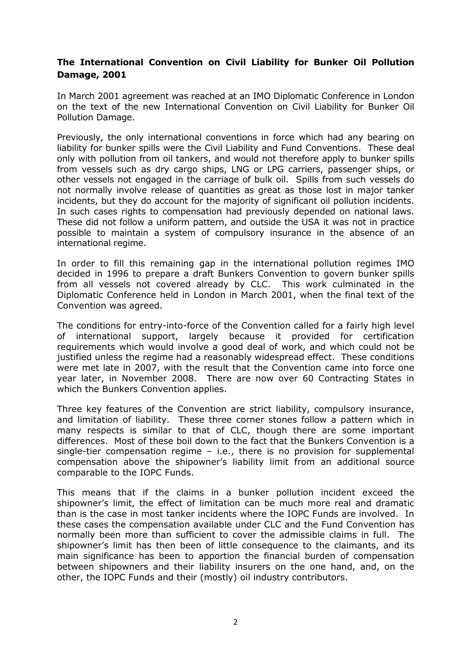### The International Convention on Civil Liability for Bunker Oil Pollution Damage, 2001

In March 2001 agreement was reached at an IMO Diplomatic Conference in London on the text of the new International Convention on Civil Liability for Bunker Oil Pollution Damage.

Previously, the only international conventions in force which had any bearing on liability for bunker spills were the Civil Liability and Fund Conventions. These deal only with pollution from oil tankers, and would not therefore apply to bunker spills from vessels such as dry cargo ships, LNG or LPG carriers, passenger ships, or other vessels not engaged in the carriage of bulk oil. Spills from such vessels do not normally involve release of quantities as great as those lost in major tanker incidents, but they do account for the majority of significant oil pollution incidents. In such cases rights to compensation had previously depended on national laws. These did not follow a uniform pattern, and outside the USA it was not in practice possible to maintain a system of compulsory insurance in the absence of an international regime.

In order to fill this remaining gap in the international pollution regimes IMO decided in 1996 to prepare a draft Bunkers Convention to govern bunker spills from all vessels not covered already by CLC. This work culminated in the Diplomatic Conference held in London in March 2001, when the final text of the Convention was agreed.

The conditions for entry-into-force of the Convention called for a fairly high level of international support, largely because it provided for certification requirements which would involve a good deal of work, and which could not be justified unless the regime had a reasonably widespread effect. These conditions were met late in 2007, with the result that the Convention came into force one year later, in November 2008. There are now over 60 Contracting States in which the Bunkers Convention applies.

Three key features of the Convention are strict liability, compulsory insurance, and limitation of liability. These three corner stones follow a pattern which in many respects is similar to that of CLC, though there are some important differences. Most of these boil down to the fact that the Bunkers Convention is a single-tier compensation regime – i.e., there is no provision for supplemental compensation above the shipowner's liability limit from an additional source comparable to the IOPC Funds.

This means that if the claims in a bunker pollution incident exceed the shipowner's limit, the effect of limitation can be much more real and dramatic than is the case in most tanker incidents where the IOPC Funds are involved. In these cases the compensation available under CLC and the Fund Convention has normally been more than sufficient to cover the admissible claims in full. The shipowner's limit has then been of little consequence to the claimants, and its main significance has been to apportion the financial burden of compensation between shipowners and their liability insurers on the one hand, and, on the other, the IOPC Funds and their (mostly) oil industry contributors.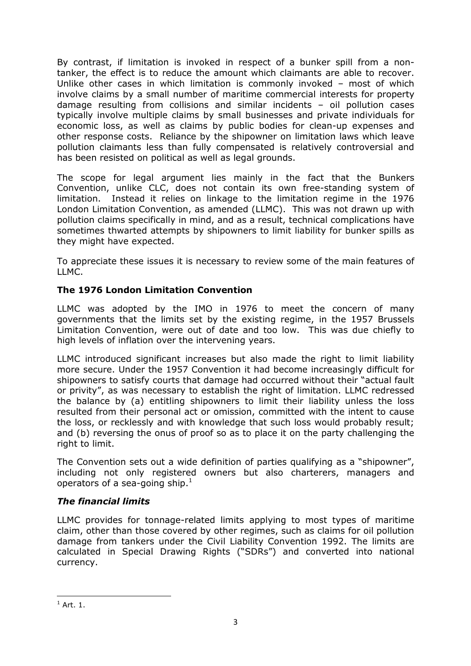By contrast, if limitation is invoked in respect of a bunker spill from a nontanker, the effect is to reduce the amount which claimants are able to recover. Unlike other cases in which limitation is commonly invoked – most of which involve claims by a small number of maritime commercial interests for property damage resulting from collisions and similar incidents – oil pollution cases typically involve multiple claims by small businesses and private individuals for economic loss, as well as claims by public bodies for clean-up expenses and other response costs. Reliance by the shipowner on limitation laws which leave pollution claimants less than fully compensated is relatively controversial and has been resisted on political as well as legal grounds.

The scope for legal argument lies mainly in the fact that the Bunkers Convention, unlike CLC, does not contain its own free-standing system of limitation. Instead it relies on linkage to the limitation regime in the 1976 London Limitation Convention, as amended (LLMC). This was not drawn up with pollution claims specifically in mind, and as a result, technical complications have sometimes thwarted attempts by shipowners to limit liability for bunker spills as they might have expected.

To appreciate these issues it is necessary to review some of the main features of LLMC.

# The 1976 London Limitation Convention

LLMC was adopted by the IMO in 1976 to meet the concern of many governments that the limits set by the existing regime, in the 1957 Brussels Limitation Convention, were out of date and too low. This was due chiefly to high levels of inflation over the intervening years.

LLMC introduced significant increases but also made the right to limit liability more secure. Under the 1957 Convention it had become increasingly difficult for shipowners to satisfy courts that damage had occurred without their "actual fault or privity", as was necessary to establish the right of limitation. LLMC redressed the balance by (a) entitling shipowners to limit their liability unless the loss resulted from their personal act or omission, committed with the intent to cause the loss, or recklessly and with knowledge that such loss would probably result; and (b) reversing the onus of proof so as to place it on the party challenging the right to limit.

The Convention sets out a wide definition of parties qualifying as a "shipowner", including not only registered owners but also charterers, managers and operators of a sea-going ship. $^1$ 

# The financial limits

LLMC provides for tonnage-related limits applying to most types of maritime claim, other than those covered by other regimes, such as claims for oil pollution damage from tankers under the Civil Liability Convention 1992. The limits are calculated in Special Drawing Rights ("SDRs") and converted into national currency.

l

 $^1$  Art. 1.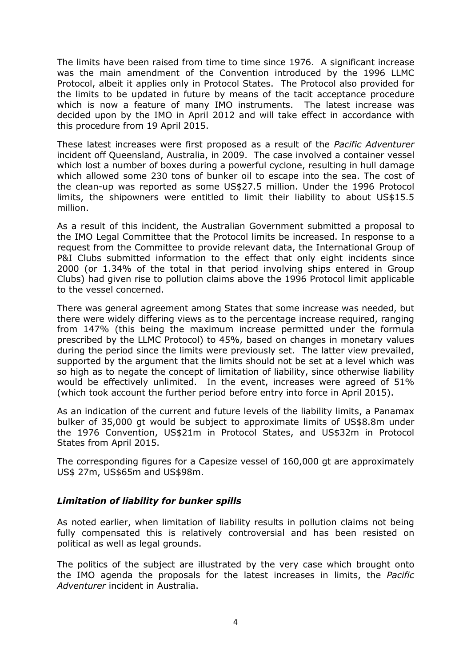The limits have been raised from time to time since 1976. A significant increase was the main amendment of the Convention introduced by the 1996 LLMC Protocol, albeit it applies only in Protocol States. The Protocol also provided for the limits to be updated in future by means of the tacit acceptance procedure which is now a feature of many IMO instruments. The latest increase was decided upon by the IMO in April 2012 and will take effect in accordance with this procedure from 19 April 2015.

These latest increases were first proposed as a result of the *Pacific Adventurer* incident off Queensland, Australia, in 2009. The case involved a container vessel which lost a number of boxes during a powerful cyclone, resulting in hull damage which allowed some 230 tons of bunker oil to escape into the sea. The cost of the clean-up was reported as some US\$27.5 million. Under the 1996 Protocol limits, the shipowners were entitled to limit their liability to about US\$15.5 million.

As a result of this incident, the Australian Government submitted a proposal to the IMO Legal Committee that the Protocol limits be increased. In response to a request from the Committee to provide relevant data, the International Group of P&I Clubs submitted information to the effect that only eight incidents since 2000 (or 1.34% of the total in that period involving ships entered in Group Clubs) had given rise to pollution claims above the 1996 Protocol limit applicable to the vessel concerned.

There was general agreement among States that some increase was needed, but there were widely differing views as to the percentage increase required, ranging from 147% (this being the maximum increase permitted under the formula prescribed by the LLMC Protocol) to 45%, based on changes in monetary values during the period since the limits were previously set. The latter view prevailed, supported by the argument that the limits should not be set at a level which was so high as to negate the concept of limitation of liability, since otherwise liability would be effectively unlimited. In the event, increases were agreed of 51% (which took account the further period before entry into force in April 2015).

As an indication of the current and future levels of the liability limits, a Panamax bulker of 35,000 gt would be subject to approximate limits of US\$8.8m under the 1976 Convention, US\$21m in Protocol States, and US\$32m in Protocol States from April 2015.

The corresponding figures for a Capesize vessel of 160,000 gt are approximately US\$ 27m, US\$65m and US\$98m.

### Limitation of liability for bunker spills

As noted earlier, when limitation of liability results in pollution claims not being fully compensated this is relatively controversial and has been resisted on political as well as legal grounds.

The politics of the subject are illustrated by the very case which brought onto the IMO agenda the proposals for the latest increases in limits, the Pacific Adventurer incident in Australia.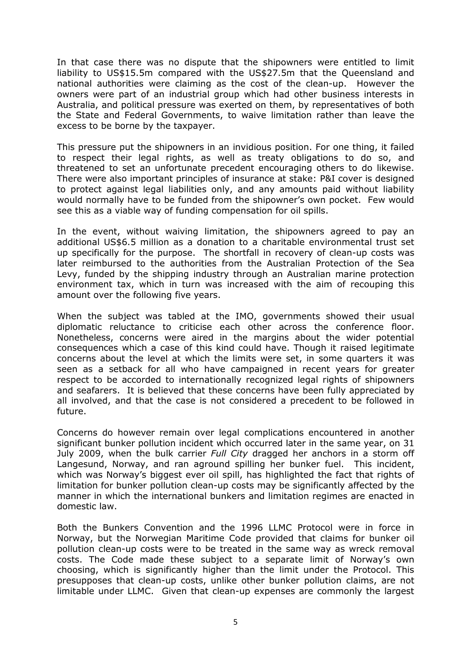In that case there was no dispute that the shipowners were entitled to limit liability to US\$15.5m compared with the US\$27.5m that the Queensland and national authorities were claiming as the cost of the clean-up. However the owners were part of an industrial group which had other business interests in Australia, and political pressure was exerted on them, by representatives of both the State and Federal Governments, to waive limitation rather than leave the excess to be borne by the taxpayer.

This pressure put the shipowners in an invidious position. For one thing, it failed to respect their legal rights, as well as treaty obligations to do so, and threatened to set an unfortunate precedent encouraging others to do likewise. There were also important principles of insurance at stake: P&I cover is designed to protect against legal liabilities only, and any amounts paid without liability would normally have to be funded from the shipowner's own pocket. Few would see this as a viable way of funding compensation for oil spills.

In the event, without waiving limitation, the shipowners agreed to pay an additional US\$6.5 million as a donation to a charitable environmental trust set up specifically for the purpose. The shortfall in recovery of clean-up costs was later reimbursed to the authorities from the Australian Protection of the Sea Levy, funded by the shipping industry through an Australian marine protection environment tax, which in turn was increased with the aim of recouping this amount over the following five years.

When the subject was tabled at the IMO, governments showed their usual diplomatic reluctance to criticise each other across the conference floor. Nonetheless, concerns were aired in the margins about the wider potential consequences which a case of this kind could have. Though it raised legitimate concerns about the level at which the limits were set, in some quarters it was seen as a setback for all who have campaigned in recent years for greater respect to be accorded to internationally recognized legal rights of shipowners and seafarers. It is believed that these concerns have been fully appreciated by all involved, and that the case is not considered a precedent to be followed in future.

Concerns do however remain over legal complications encountered in another significant bunker pollution incident which occurred later in the same year, on 31 July 2009, when the bulk carrier Full City dragged her anchors in a storm off Langesund, Norway, and ran aground spilling her bunker fuel. This incident, which was Norway's biggest ever oil spill, has highlighted the fact that rights of limitation for bunker pollution clean-up costs may be significantly affected by the manner in which the international bunkers and limitation regimes are enacted in domestic law.

Both the Bunkers Convention and the 1996 LLMC Protocol were in force in Norway, but the Norwegian Maritime Code provided that claims for bunker oil pollution clean-up costs were to be treated in the same way as wreck removal costs. The Code made these subject to a separate limit of Norway's own choosing, which is significantly higher than the limit under the Protocol. This presupposes that clean-up costs, unlike other bunker pollution claims, are not limitable under LLMC. Given that clean-up expenses are commonly the largest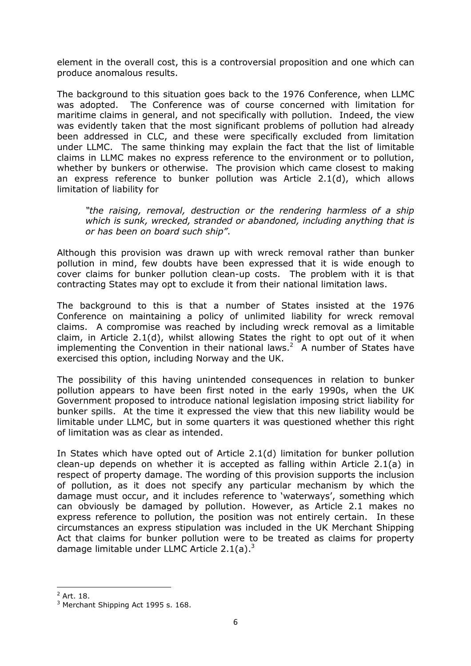element in the overall cost, this is a controversial proposition and one which can produce anomalous results.

The background to this situation goes back to the 1976 Conference, when LLMC was adopted. The Conference was of course concerned with limitation for maritime claims in general, and not specifically with pollution. Indeed, the view was evidently taken that the most significant problems of pollution had already been addressed in CLC, and these were specifically excluded from limitation under LLMC. The same thinking may explain the fact that the list of limitable claims in LLMC makes no express reference to the environment or to pollution, whether by bunkers or otherwise. The provision which came closest to making an express reference to bunker pollution was Article 2.1(d), which allows limitation of liability for

"the raising, removal, destruction or the rendering harmless of a ship which is sunk, wrecked, stranded or abandoned, including anything that is or has been on board such ship".

Although this provision was drawn up with wreck removal rather than bunker pollution in mind, few doubts have been expressed that it is wide enough to cover claims for bunker pollution clean-up costs. The problem with it is that contracting States may opt to exclude it from their national limitation laws.

The background to this is that a number of States insisted at the 1976 Conference on maintaining a policy of unlimited liability for wreck removal claims. A compromise was reached by including wreck removal as a limitable claim, in Article 2.1(d), whilst allowing States the right to opt out of it when implementing the Convention in their national laws.<sup>2</sup> A number of States have exercised this option, including Norway and the UK.

The possibility of this having unintended consequences in relation to bunker pollution appears to have been first noted in the early 1990s, when the UK Government proposed to introduce national legislation imposing strict liability for bunker spills. At the time it expressed the view that this new liability would be limitable under LLMC, but in some quarters it was questioned whether this right of limitation was as clear as intended.

In States which have opted out of Article 2.1(d) limitation for bunker pollution clean-up depends on whether it is accepted as falling within Article 2.1(a) in respect of property damage. The wording of this provision supports the inclusion of pollution, as it does not specify any particular mechanism by which the damage must occur, and it includes reference to 'waterways', something which can obviously be damaged by pollution. However, as Article 2.1 makes no express reference to pollution, the position was not entirely certain. In these circumstances an express stipulation was included in the UK Merchant Shipping Act that claims for bunker pollution were to be treated as claims for property damage limitable under LLMC Article  $2.1(a)$ .<sup>3</sup>

l

 $^2$  Art. 18.

 $3$  Merchant Shipping Act 1995 s. 168.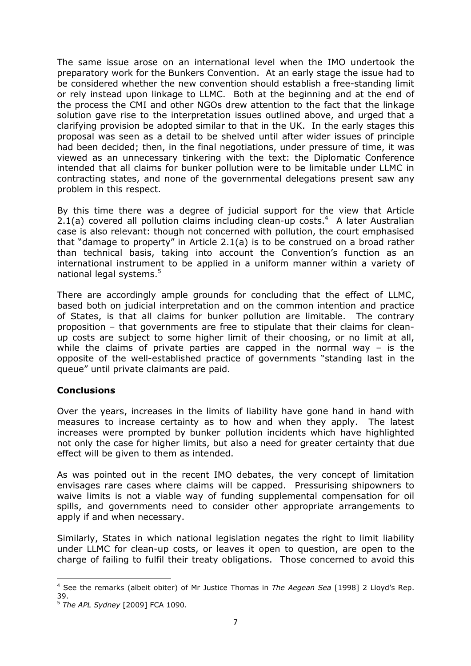The same issue arose on an international level when the IMO undertook the preparatory work for the Bunkers Convention. At an early stage the issue had to be considered whether the new convention should establish a free-standing limit or rely instead upon linkage to LLMC. Both at the beginning and at the end of the process the CMI and other NGOs drew attention to the fact that the linkage solution gave rise to the interpretation issues outlined above, and urged that a clarifying provision be adopted similar to that in the UK. In the early stages this proposal was seen as a detail to be shelved until after wider issues of principle had been decided; then, in the final negotiations, under pressure of time, it was viewed as an unnecessary tinkering with the text: the Diplomatic Conference intended that all claims for bunker pollution were to be limitable under LLMC in contracting states, and none of the governmental delegations present saw any problem in this respect.

By this time there was a degree of judicial support for the view that Article 2.1(a) covered all pollution claims including clean-up costs. $4$  A later Australian case is also relevant: though not concerned with pollution, the court emphasised that "damage to property" in Article 2.1(a) is to be construed on a broad rather than technical basis, taking into account the Convention's function as an international instrument to be applied in a uniform manner within a variety of national legal systems.<sup>5</sup>

There are accordingly ample grounds for concluding that the effect of LLMC, based both on judicial interpretation and on the common intention and practice of States, is that all claims for bunker pollution are limitable. The contrary proposition – that governments are free to stipulate that their claims for cleanup costs are subject to some higher limit of their choosing, or no limit at all, while the claims of private parties are capped in the normal way – is the opposite of the well-established practice of governments "standing last in the queue" until private claimants are paid.

### **Conclusions**

 $\overline{a}$ 

Over the years, increases in the limits of liability have gone hand in hand with measures to increase certainty as to how and when they apply. The latest increases were prompted by bunker pollution incidents which have highlighted not only the case for higher limits, but also a need for greater certainty that due effect will be given to them as intended.

As was pointed out in the recent IMO debates, the very concept of limitation envisages rare cases where claims will be capped. Pressurising shipowners to waive limits is not a viable way of funding supplemental compensation for oil spills, and governments need to consider other appropriate arrangements to apply if and when necessary.

Similarly, States in which national legislation negates the right to limit liability under LLMC for clean-up costs, or leaves it open to question, are open to the charge of failing to fulfil their treaty obligations. Those concerned to avoid this

<sup>&</sup>lt;sup>4</sup> See the remarks (albeit obiter) of Mr Justice Thomas in The Aegean Sea [1998] 2 Lloyd's Rep. 39.

 $5$  The APL Sydney [2009] FCA 1090.